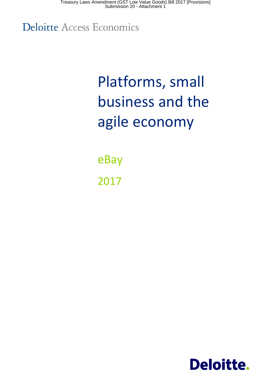Treasury Laws Amendment (GST Low Value Goods) Bill 2017 [Provisions] Submission 20 - Attachment 1

**Deloitte Access Economics** 

# Platforms, small business and the agile economy

eBay 2017

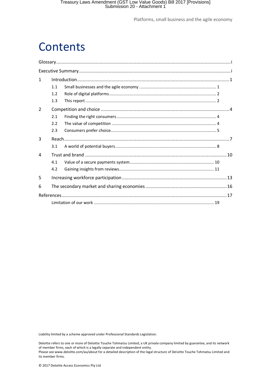## **Contents**

| $\mathbf{1}$   |     |  |  |
|----------------|-----|--|--|
|                | 1.1 |  |  |
|                | 1.2 |  |  |
|                | 1.3 |  |  |
| $\overline{2}$ |     |  |  |
|                | 2.1 |  |  |
|                | 2.2 |  |  |
|                | 2.3 |  |  |
| 3              |     |  |  |
|                | 3.1 |  |  |
| 4              |     |  |  |
|                | 4.1 |  |  |
|                | 4.2 |  |  |
| 5              |     |  |  |
| 6              |     |  |  |
|                |     |  |  |
|                |     |  |  |

Liability limited by a scheme approved under Professional Standards Legislation.

Deloitte refers to one or more of Deloitte Touche Tohmatsu Limited, a UK private company limited by guarantee, and its network of member firms, each of which is a legally separate and independent entity. Please see www.deloitte.com/au/about for a detailed description of the legal structure of Deloitte Touche Tohmatsu Limited and its member firms.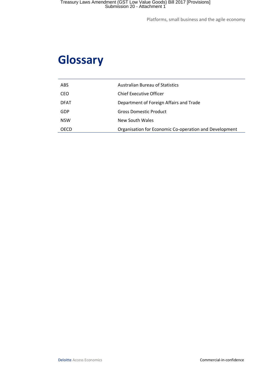## <span id="page-2-0"></span>**Glossary**

| <b>ABS</b>  | <b>Australian Bureau of Statistics</b>                 |
|-------------|--------------------------------------------------------|
| CEO         | Chief Executive Officer                                |
| <b>DFAT</b> | Department of Foreign Affairs and Trade                |
| GDP         | Gross Domestic Product                                 |
| <b>NSW</b>  | New South Wales                                        |
| OECD        | Organisation for Economic Co-operation and Development |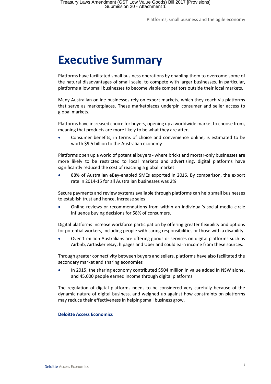## <span id="page-3-0"></span>**Executive Summary**

Platforms have facilitated small business operations by enabling them to overcome some of the natural disadvantages of small scale, to compete with larger businesses. In particular, platforms allow small businesses to become viable competitors outside their local markets.

Many Australian online businesses rely on export markets, which they reach via platforms that serve as marketplaces. These marketplaces underpin consumer and seller access to global markets.

Platforms have increased choice for buyers, opening up a worldwide market to choose from, meaning that products are more likely to be what they are after.

 Consumer benefits, in terms of choice and convenience online, is estimated to be worth \$9.5 billion to the Australian economy

Platforms open up a world of potential buyers - where bricks and mortar-only businesses are more likely to be restricted to local markets and advertising, digital platforms have significantly reduced the cost of reaching a global market

 88% of Australian eBay-enabled SMEs exported in 2016. By comparison, the export rate in 2014-15 for all Australian businesses was 2%

Secure payments and review systems available through platforms can help small businesses to establish trust and hence, increase sales

 Online reviews or recommendations from within an individual's social media circle influence buying decisions for 58% of consumers.

Digital platforms increase workforce participation by offering greater flexibility and options for potential workers, including people with caring responsibilities or those with a disability.

 Over 1 million Australians are offering goods or services on digital platforms such as Airbnb, Airtasker eBay, hipages and Uber and could earn income from these sources.

Through greater connectivity between buyers and sellers, platforms have also facilitated the secondary market and sharing economies

 In 2015, the sharing economy contributed \$504 million in value added in NSW alone, and 45,000 people earned income through digital platforms

The regulation of digital platforms needs to be considered very carefully because of the dynamic nature of digital business, and weighed up against how constraints on platforms may reduce their effectiveness in helping small business grow.

#### **Deloitte Access Economics**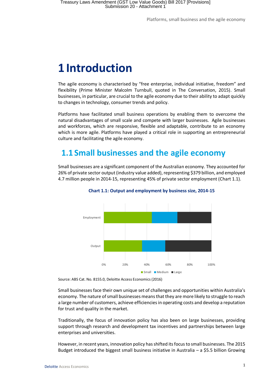## <span id="page-4-0"></span>**1 Introduction**

The agile economy is characterised by "free enterprise, individual initiative, freedom" and flexibility (Prime Minister Malcolm Turnbull, quoted in The Conversation, 2015). Small businesses, in particular, are crucial to the agile economy due to their ability to adapt quickly to changes in technology, consumer trends and policy.

Platforms have facilitated small business operations by enabling them to overcome the natural disadvantages of small scale and compete with larger businesses. Agile businesses and workforces, which are responsive, flexible and adaptable, contribute to an economy which is more agile. Platforms have played a critical role in supporting an entrepreneurial culture and facilitating the agile economy.

### <span id="page-4-1"></span>**1.1 Small businesses and the agile economy**

<span id="page-4-2"></span>Small businesses are a significant component of the Australian economy. They accounted for 26% of private sector output (industry value added), representing \$379 billion, and employed 4.7 million people in 2014-15, representing 45% of private sector employment [\(Chart 1.1\)](#page-4-2).



**Chart 1.1: Output and employment by business size, 2014-15**

Small businesses face their own unique set of challenges and opportunities within Australia's economy. The nature of small businesses means that they are more likely to struggle to reach a large number of customers, achieve efficiencies in operating costs and develop a reputation for trust and quality in the market.

Traditionally, the focus of innovation policy has also been on large businesses, providing support through research and development tax incentives and partnerships between large enterprises and universities.

However, in recent years, innovation policy has shifted its focus to small businesses. The 2015 Budget introduced the biggest small business initiative in Australia – a \$5.5 billion Growing

Source: ABS Cat. No. 8155.0, Deloitte Access Economics (2016)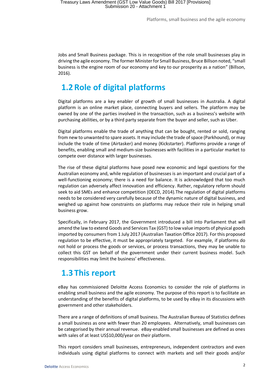Jobs and Small Business package. This is in recognition of the role small businesses play in driving the agile economy. The former Minister for Small Business, Bruce Billson noted, "small business is the engine room of our economy and key to our prosperity as a nation" (Billson, 2016).

### <span id="page-5-0"></span>**1.2 Role of digital platforms**

Digital platforms are a key enabler of growth of small businesses in Australia. A digital platform is an online market place, connecting buyers and sellers. The platform may be owned by one of the parties involved in the transaction, such as a business's website with purchasing abilities, or by a third party separate from the buyer and seller, such as Uber.

Digital platforms enable the trade of anything that can be bought, rented or sold, ranging from new to unwanted to spare assets. It may include the trade of space (Parkhound), or may include the trade of time (Airtasker) and money (Kickstarter). Platforms provide a range of benefits, enabling small and medium-size businesses with facilities in a particular market to compete over distance with larger businesses.

The rise of these digital platforms have posed new economic and legal questions for the Australian economy and, while regulation of businesses is an important and crucial part of a well-functioning economy; there is a need for balance. It is acknowledged that too much regulation can adversely affect innovation and efficiency. Rather, regulatory reform should seek to aid SMEs and enhance competition (OECD, 2014).The regulation of digital platforms needs to be considered very carefully because of the dynamic nature of digital business, and weighed up against how constraints on platforms may reduce their role in helping small business grow.

Specifically, in February 2017, the Government introduced a bill into Parliament that will amend the law to extend Goods and Services Tax (GST) to low value imports of physical goods imported by consumers from 1 July 2017 (Australian Taxation Office 2017). For this proposed regulation to be effective, it must be appropriately targeted. For example, if platforms do not hold or process the goods or services, or process transactions, they may be unable to collect this GST on behalf of the government under their current business model. Such responsibilities may limit the business' effectiveness.

### <span id="page-5-1"></span>**1.3 This report**

eBay has commissioned Deloitte Access Economics to consider the role of platforms in enabling small business and the agile economy. The purpose of this report is to facilitate an understanding of the benefits of digital platforms, to be used by eBay in its discussions with government and other stakeholders.

There are a range of definitions of small business. The Australian Bureau of Statistics defines a small business as one with fewer than 20 employees. Alternatively, small businesses can be categorised by their annual revenue. eBay-enabled small businesses are defined as ones with sales of at least US\$10,000/year on their platform.

This report considers small businesses, entrepreneurs, independent contractors and even individuals using digital platforms to connect with markets and sell their goods and/or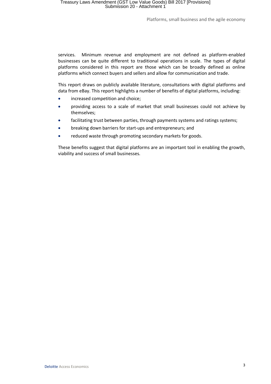services. Minimum revenue and employment are not defined as platform-enabled businesses can be quite different to traditional operations in scale. The types of digital platforms considered in this report are those which can be broadly defined as online platforms which connect buyers and sellers and allow for communication and trade.

This report draws on publicly available literature, consultations with digital platforms and data from eBay. This report highlights a number of benefits of digital platforms, including:

- increased competition and choice;
- providing access to a scale of market that small businesses could not achieve by themselves;
- facilitating trust between parties, through payments systems and ratings systems;
- breaking down barriers for start-ups and entrepreneurs; and
- reduced waste through promoting secondary markets for goods.

These benefits suggest that digital platforms are an important tool in enabling the growth, viability and success of small businesses.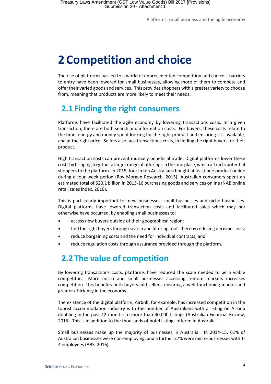## <span id="page-7-0"></span>**2 Competition and choice**

The rise of platforms has led to a world of unprecedented competition and choice – barriers to entry have been lowered for small businesses, allowing more of them to compete and offer their varied goods and services. This provides shoppers with a greater variety to choose from, meaning that products are more likely to meet their needs.

### <span id="page-7-1"></span>**2.1 Finding the right consumers**

Platforms have facilitated the agile economy by lowering transactions costs. In a given transaction, there are both search and information costs. For buyers, these costs relate to the time, energy and money spent looking for the right product and ensuring it is available, and at the right price. Sellers also face transactions costs, in finding the right buyers for their product.

High transaction costs can prevent mutually beneficial trade. Digital platforms lower these costs by bringing together a larger range of offerings in the one place, which attracts potential shoppers to the platform. In 2015, four in ten Australians bought at least one product online during a four week period (Roy Morgan Research, 2015). Australian consumers spent an estimated total of \$20.1 billion in 2015-16 purchasing goods and services online (NAB online retail sales index, 2016).

This is particularly important for new businesses, small businesses and niche businesses. Digital platforms have lowered transaction costs and facilitated sales which may not otherwise have occurred, by enabling small businesses to:

- access new buyers outside of their geographical region;
- find the right buyers through search and filtering tools thereby reducing decision costs;
- reduce bargaining costs and the need for individual contracts; and
- <span id="page-7-2"></span>reduce regulation costs through assurance provided through the platform.

### **2.2 The value of competition**

By lowering transactions costs, platforms have reduced the scale needed to be a viable competitor. More micro and small businesses accessing remote markets increases competition. This benefits both buyers and sellers, ensuring a well-functioning market and greater efficiency in the economy.

The existence of the digital platform, Airbnb, for example, has increased competition in the tourist accommodation industry with the number of Australians with a listing on Airbnb doubling in the past 12 months to more than 40,000 listings (Australian Financial Review, 2015). This is in addition to the thousands of hotel listings offered in Australia.

Small businesses make up the majority of businesses in Australia. In 2014-15, 61% of Australian businesses were non-employing, and a further 27% were micro-businesses with 1- 4 employees (ABS, 2016).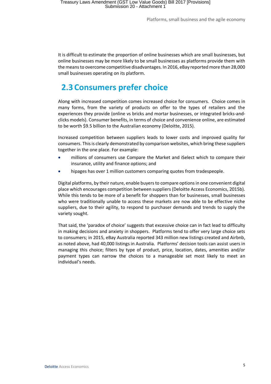It is difficult to estimate the proportion of online businesses which are small businesses, but online businesses may be more likely to be small businesses as platforms provide them with the means to overcome competitive disadvantages. In 2016, eBay reported more than 28,000 small businesses operating on its platform.

### <span id="page-8-0"></span>**2.3 Consumers prefer choice**

Along with increased competition comes increased choice for consumers. Choice comes in many forms, from the variety of products on offer to the types of retailers and the experiences they provide (online vs bricks and mortar businesses, or integrated bricks-andclicks models). Consumer benefits, in terms of choice and convenience online, are estimated to be worth \$9.5 billion to the Australian economy (Deloitte, 2015).

Increased competition between suppliers leads to lower costs and improved quality for consumers. This is clearly demonstrated by comparison websites, which bring these suppliers together in the one place. For example:

- millions of consumers use Compare the Market and iSelect which to compare their insurance, utility and finance options; and
- hipages has over 1 million customers comparing quotes from tradespeople.

Digital platforms, by their nature, enable buyers to compare options in one convenient digital place which encourages competition between suppliers (Deloitte Access Economics, 2015b). While this tends to be more of a benefit for shoppers than for businesses, small businesses who were traditionally unable to access these markets are now able to be effective niche suppliers, due to their agility, to respond to purchaser demands and trends to supply the variety sought.

That said, the 'paradox of choice' suggests that excessive choice can in fact lead to difficulty in making decisions and anxiety in shoppers. Platforms tend to offer very large choice sets to consumers; in 2015, eBay Australia reported 343 million new listings created and Airbnb, as noted above, had 40,000 listings in Australia. Platforms' decision tools can assist users in managing this choice; filters by type of product, price, location, dates, amenities and/or payment types can narrow the choices to a manageable set most likely to meet an individual's needs.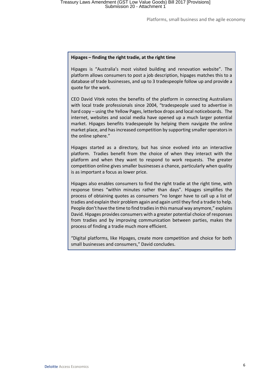#### **Hipages – finding the right tradie, at the right time**

Hipages is "Australia's most visited building and renovation website". The platform allows consumers to post a job description, hipages matches this to a database of trade businesses, and up to 3 tradespeople follow up and provide a quote for the work.

CEO David Vitek notes the benefits of the platform in connecting Australians with local trade professionals since 2004, "tradespeople used to advertise in hard copy – using the Yellow Pages, letterbox drops and local noticeboards. The internet, websites and social media have opened up a much larger potential market. Hipages benefits tradespeople by helping them navigate the online market place, and has increased competition by supporting smaller operators in the online sphere."

Hipages started as a directory, but has since evolved into an interactive platform. Tradies benefit from the choice of when they interact with the platform and when they want to respond to work requests. The greater competition online gives smaller businesses a chance, particularly when quality is as important a focus as lower price.

Hipages also enables consumers to find the right tradie at the right time, with response times "within minutes rather than days". Hipages simplifies the process of obtaining quotes as consumers "no longer have to call up a list of tradies and explain their problem again and again until they find a tradie to help. People don't have the time to find tradies in this manual way anymore," explains David. Hipages provides consumers with a greater potential choice of responses from tradies and by improving communication between parties, makes the process of finding a tradie much more efficient.

"Digital platforms, like Hipages, create more competition and choice for both small businesses and consumers," David concludes.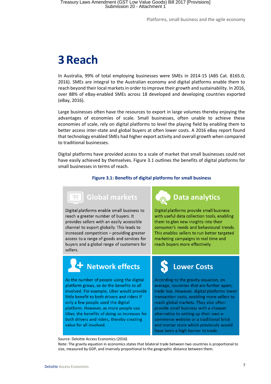## <span id="page-10-0"></span>**3Reach**

In Australia, 99% of total employing businesses were SMEs in 2014-15 (ABS Cat. 8165.0, 2016). SMEs are integral to the Australian economy and digital platforms enable them to reach beyond their local markets in order to improve their growth and sustainability. In 2016, over 88% of eBay-enabled SMEs across 18 developed and developing countries exported (eBay, 2016).

Large businesses often have the resources to export in large volumes thereby enjoying the advantages of economies of scale. Small businesses, often unable to achieve these economies of scale, rely on digital platforms to level the playing field by enabling them to better access inter-state and global buyers at often lower costs. A 2016 eBay report found that technology enabled SMEs had higher export activity and overall growth when compared to traditional businesses.

<span id="page-10-1"></span>Digital platforms have provided access to a scale of market that small businesses could not have easily achieved by themselves. [Figure 3.1](#page-10-1) outlines the benefits of digital platforms for small businesses in terms of reach.

#### **Figure 3.1: Benefits of digital platforms for small business**



Digital platforms enable small business to reach a greater number of buyers. It provides sellers with an easily accessible channel to export globally. This leads to increased competition - providing greater access to a range of goods and services for buyers and a global range of customers for sellers.



Digital platforms provide small business with useful data collection tools, enabling them to glen new insights into their consumer's needs and behavioural trends. This enables sellers to run better targeted marketing campaigns in real time and reach buyers more effectively.

## ' Network effects

As the number of people using the digital platform grows, so do the benefits to all involved. For example, Uber would provide little benefit to both drivers and riders if only a few people used the digital platform. However, as more people use Uber, the benefits of doing so increases for both drivers and riders, thereby creating value for all involved.

## **Lower Costs**

According to the gravity equation, on average, countries that are further apart, trade less. However, digital platforms lower transaction costs, enabling more sellers to reach global markets. They also often provide small business with a cheaper alternative to setting up their own ecommerce website or a traditional brick and mortar store which previously would have been a high barrier to trade.

#### Source: Deloitte Access Economics (2016)

Note: The gravity equation in economics states that bilateral trade between two countries is proportional to size, measured by GDP, and inversely proportional to the geographic distance between them.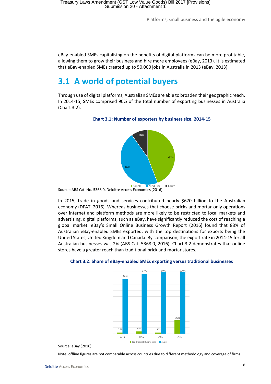eBay-enabled SMEs capitalising on the benefits of digital platforms can be more profitable, allowing them to grow their business and hire more employees (eBay, 2013). It is estimated that eBay-enabled SMEs created up to 50,000 jobs in Australia in 2013 (eBay, 2013).

### <span id="page-11-0"></span>**3.1 A world of potential buyers**

<span id="page-11-1"></span>Through use of digital platforms, Australian SMEs are able to broaden their geographic reach. In 2014-15, SMEs comprised 90% of the total number of exporting businesses in Australia [\(Chart 3.2\)](#page-11-1).



#### **Chart 3.1: Number of exporters by business size, 2014-15**

In 2015, trade in goods and services contributed nearly \$670 billion to the Australian economy (DFAT, 2016). Whereas businesses that choose bricks and mortar-only operations over internet and platform methods are more likely to be restricted to local markets and advertising, digital platforms, such as eBay, have significantly reduced the cost of reaching a global market. eBay's Small Online Business Growth Report (2016) found that 88% of Australian eBay-enabled SMEs exported, with the top destinations for exports being the United States, United Kingdom and Canada. By comparison, the export rate in 2014-15 for all Australian businesses was 2% (ABS Cat. 5368.0, 2016). [Chart 3.2](#page-11-2) demonstrates that online stores have a greater reach than traditional brick and mortar stores.



#### <span id="page-11-2"></span>**Chart 3.2: Share of eBay-enabled SMEs exporting versus traditional businesses**

Source: eBay (2016)

Note: offline figures are not comparable across countries due to different methodology and coverage of firms.

Source: ABS Cat. No. 5368.0, Deloitte Access Economics (2016)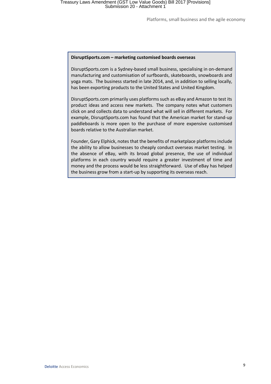#### **DisruptSports.com – marketing customised boards overseas**

DisruptSports.com is a Sydney-based small business, specialising in on-demand manufacturing and customisation of surfboards, skateboards, snowboards and yoga mats. The business started in late 2014, and, in addition to selling locally, has been exporting products to the United States and United Kingdom.

DisruptSports.com primarily uses platforms such as eBay and Amazon to test its product ideas and access new markets. The company notes what customers click on and collects data to understand what will sell in different markets. For example, DisruptSports.com has found that the American market for stand-up paddleboards is more open to the purchase of more expensive customised boards relative to the Australian market.

Founder, Gary Elphick, notes that the benefits of marketplace platforms include the ability to allow businesses to cheaply conduct overseas market testing. In the absence of eBay, with its broad global presence, the use of individual platforms in each country would require a greater investment of time and money and the process would be less straightforward. Use of eBay has helped the business grow from a start-up by supporting its overseas reach.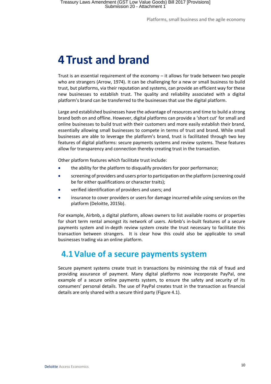## <span id="page-13-0"></span>**4 Trust and brand**

Trust is an essential requirement of the economy – it allows for trade between two people who are strangers (Arrow, 1974). It can be challenging for a new or small business to build trust, but platforms, via their reputation and systems, can provide an efficient way for these new businesses to establish trust. The quality and reliability associated with a digital platform's brand can be transferred to the businesses that use the digital platform.

Large and established businesses have the advantage of resources and time to build a strong brand both on and offline. However, digital platforms can provide a 'short cut' for small and online businesses to build trust with their customers and more easily establish their brand, essentially allowing small businesses to compete in terms of trust and brand. While small businesses are able to leverage the platform's brand, trust is facilitated through two key features of digital platforms: secure payments systems and review systems. These features allow for transparency and connection thereby creating trust in the transaction.

Other platform features which facilitate trust include:

- the ability for the platform to disqualify providers for poor performance;
- screening of providers and users prior to participation on the platform (screening could be for either qualifications or character traits);
- verified identification of providers and users; and
- insurance to cover providers or users for damage incurred while using services on the platform (Deloitte, 2015b).

For example, Airbnb, a digital platform, allows owners to list available rooms or properties for short term rental amongst its network of users. Airbnb's in-built features of a secure payments system and in-depth review system create the trust necessary to facilitate this transaction between strangers. It is clear how this could also be applicable to small businesses trading via an online platform.

### <span id="page-13-1"></span>**4.1Value of a secure payments system**

Secure payment systems create trust in transactions by minimising the risk of fraud and providing assurance of payment. Many digital platforms now incorporate PayPal, one example of a secure online payments system, to ensure the safety and security of its consumers' personal details. The use of PayPal creates trust in the transaction as financial details are only shared with a secure third party [\(Figure 4.1\)](#page-14-1).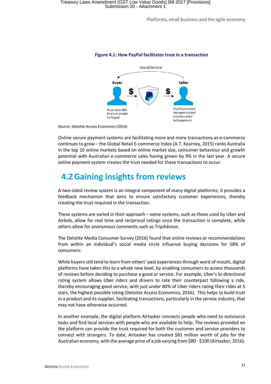

#### <span id="page-14-1"></span>**Figure 4.1: How PayPal facilitates trust in a transaction**

Source: Deloitte Access Economics (2016)

Online secure payment systems are facilitating more and more transactions as e-commerce continues to grow – the Global Retail E-commerce Index (A.T. Kearney, 2015) ranks Australia in the top 10 online markets based on online market size, consumer behaviour and growth potential with Australian e-commerce sales having grown by 9% in the last year. A secure online payment system creates the trust needed for these transactions to occur.

### <span id="page-14-0"></span>**4.2Gaining insights from reviews**

A two-sided review system is an integral component of many digital platforms; it provides a feedback mechanism that aims to ensure satisfactory customer experiences, thereby creating the trust required in the transaction.

These systems are varied in their approach – some systems, such as those used by Uber and Airbnb, allow for real time and reciprocal ratings once the transaction is complete, while others allow for anonymous comments such as TripAdvisor.

The Deloitte Media Consumer Survey (2016) found that online reviews or recommendations from within an individual's social media circle influence buying decisions for 58% of consumers.

While buyers still tend to learn from others' past experiences through word of mouth, digital platforms have taken this to a whole new level, by enabling consumers to access thousands of reviews before deciding to purchase a good or service. For example, Uber's bi-directional rating system allows Uber riders and drivers to rate their counterpart following a ride, thereby encouraging good service, with just under 80% of Uber riders rating their rides at 5 stars, the highest possible rating (Deloitte Access Economics, 2016). This helps to build trust in a product and its supplier, facilitating transactions, particularly in the service industry, that may not have otherwise occurred.

In another example, the digital platform Airtasker connects people who need to outsource tasks and find local services with people who are available to help. The reviews provided on the platform can provide the trust required for both the customer and service providers to connect with strangers. To date, Airtasker has created \$81 million worth of jobs for the Australian economy, with the average price of a job varying from \$80 - \$100 (Airtasker, 2016).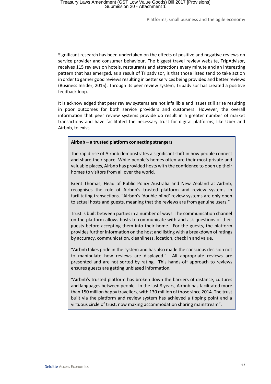Significant research has been undertaken on the effects of positive and negative reviews on service provider and consumer behaviour. The biggest travel review website, TripAdvisor, receives 115 reviews on hotels, restaurants and attractions every minute and an interesting pattern that has emerged, as a result of Tripadvisor, is that those listed tend to take action in order to garner good reviews resulting in better services being provided and better reviews (Business Insider, 2015). Through its peer review system, Tripadvisor has created a positive feedback loop.

It is acknowledged that peer review systems are not infallible and issues still arise resulting in poor outcomes for both service providers and customers. However, the overall information that peer review systems provide do result in a greater number of market transactions and have facilitated the necessary trust for digital platforms, like Uber and Airbnb, to exist.

#### **Airbnb – a trusted platform connecting strangers**

The rapid rise of Airbnb demonstrates a significant shift in how people connect and share their space. While people's homes often are their most private and valuable places, Airbnb has provided hosts with the confidence to open up their homes to visitors from all over the world.

Brent Thomas, Head of Public Policy Australia and New Zealand at Airbnb, recognises the role of Airbnb's trusted platform and review systems in facilitating transactions. "Airbnb's 'double-blind' review systems are only open to actual hosts and guests, meaning that the reviews are from genuine users."

Trust is built between parties in a number of ways. The communication channel on the platform allows hosts to communicate with and ask questions of their guests before accepting them into their home. For the guests, the platform provides further information on the host and listing with a breakdown of ratings by accuracy, communication, cleanliness, location, check in and value.

"Airbnb takes pride in the system and has also made the conscious decision not to manipulate how reviews are displayed." All appropriate reviews are presented and are not sorted by rating. This hands-off approach to reviews ensures guests are getting unbiased information.

"Airbnb's trusted platform has broken down the barriers of distance, cultures and languages between people. In the last 8 years, Airbnb has facilitated more than 150 million happy travellers, with 130 million of those since 2014. The trust built via the platform and review system has achieved a tipping point and a virtuous circle of trust, now making accommodation sharing mainstream".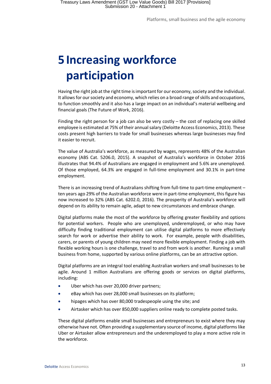## <span id="page-16-0"></span>**5 Increasing workforce participation**

Having the right job at the right time is important for our economy, society and the individual. It allows for our society and economy, which relies on a broad range of skills and occupations, to function smoothly and it also has a large impact on an individual's material wellbeing and financial goals (The Future of Work, 2016).

Finding the right person for a job can also be very costly – the cost of replacing one skilled employee is estimated at 75% of their annual salary (Deloitte Access Economics, 2013). These costs present high barriers to trade for small businesses whereas large businesses may find it easier to recruit.

The value of Australia's workforce, as measured by wages, represents 48% of the Australian economy (ABS Cat. 5206.0, 2015). A snapshot of Australia's workforce in October 2016 illustrates that 94.4% of Australians are engaged in employment and 5.6% are unemployed. Of those employed, 64.3% are engaged in full-time employment and 30.1% in part-time employment.

There is an increasing trend of Australians shifting from full-time to part-time employment – ten years ago 29% of the Australian workforce were in part-time employment, this figure has now increased to 32% (ABS Cat. 6202.0, 2016). The prosperity of Australia's workforce will depend on its ability to remain agile, adapt to new circumstances and embrace change.

Digital platforms make the most of the workforce by offering greater flexibility and options for potential workers. People who are unemployed, underemployed, or who may have difficulty finding traditional employment can utilise digital platforms to more effectively search for work or advertise their ability to work. For example, people with disabilities, carers, or parents of young children may need more flexible employment. Finding a job with flexible working hours is one challenge, travel to and from work is another. Running a small business from home, supported by various online platforms, can be an attractive option.

Digital platforms are an integral tool enabling Australian workers and small businesses to be agile. Around 1 million Australians are offering goods or services on digital platforms, including:

- Uber which has over 20,000 driver partners;
- eBay which has over 28,000 small businesses on its platform;
- hipages which has over 80,000 tradespeople using the site; and
- Airtasker which has over 850,000 suppliers online ready to complete posted tasks.

These digital platforms enable small businesses and entrepreneurs to exist where they may otherwise have not. Often providing a supplementary source of income, digital platforms like Uber or Airtasker allow entrepreneurs and the underemployed to play a more active role in the workforce.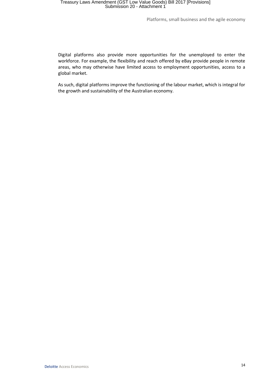### Treasury Laws Amendment (GST Low Value Goods) Bill 2017 [Provisions] Submission 20 - Attachment 1

Platforms, small business and the agile economy

Digital platforms also provide more opportunities for the unemployed to enter the workforce. For example, the flexibility and reach offered by eBay provide people in remote areas, who may otherwise have limited access to employment opportunities, access to a global market.

As such, digital platforms improve the functioning of the labour market, which is integral for the growth and sustainability of the Australian economy.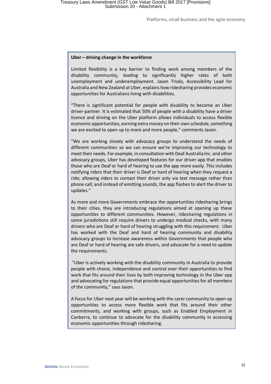#### **Uber – driving change in the workforce**

Limited flexibility is a key barrier to finding work among members of the disability community, leading to significantly higher rates of both unemployment and underemployment. Jason Triolo, Accessibility Lead for Australia and New Zealand at Uber, explains how ridesharing provides economic opportunities for Australians living with disabilities.

"There is significant potential for people with disability to become an Uber driver-partner. It is estimated that 50% of people with a disability have a driver licence and driving on the Uber platform allows individuals to access flexible economic opportunities, earning extra money on their own schedule, something we are excited to open up to more and more people," comments Jason.

"We are working closely with advocacy groups to understand the needs of different communities so we can ensure we're improving our technology to meet their needs. For example, in consultation with Deaf Australia Inc. and other advocacy groups, Uber has developed features for our driver app that enables those who are Deaf or hard of hearing to use the app more easily. This includes notifying riders that their driver is Deaf or hard of hearing when they request a ride; allowing riders to contact their driver only via text message rather than phone call; and instead of emitting sounds, the app flashes to alert the driver to updates."

As more and more Governments embrace the opportunities ridesharing brings to their cities, they are introducing regulations aimed at opening up these opportunities to different communities. However, ridesharing regulations in some jurisdictions still require drivers to undergo medical checks, with many drivers who are Deaf or hard of hearing struggling with this requirement. Uber has worked with the Deaf and hard of hearing community and disability advocacy groups to increase awareness within Governments that people who are Deaf or hard of hearing are safe drivers, and advocate for a need to update the requirements.

"Uber is actively working with the disability community in Australia to provide people with choice, independence and control over their opportunities to find work that fits around their lives by both improving technology in the Uber app and advocating for regulations that provide equal opportunities for all members of the community," says Jason.

A focus for Uber next year will be working with the carer community to open up opportunities to access more flexible work that fits around their other commitments, and working with groups, such as Enabled Employment in Canberra, to continue to advocate for the disability community in accessing economic opportunities through ridesharing.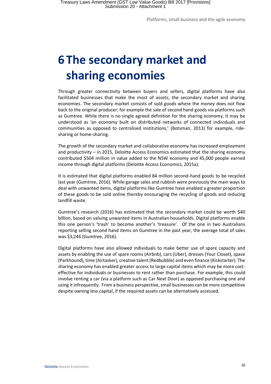## <span id="page-19-0"></span>**6 The secondary market and sharing economies**

Through greater connectivity between buyers and sellers, digital platforms have also facilitated businesses that make the most of assets; the secondary market and sharing economies. The secondary market consists of sold goods where the money does not flow back to the original producer; for example the sale of second hand goods via platforms such as Gumtree. While there is no single agreed definition for the sharing economy, it may be understood as 'an economy built on distributed networks of connected individuals and communities as opposed to centralised institutions,' (Botsman, 2013) for example, ridesharing or home-sharing.

The growth of the secondary market and collaborative economy has increased employment and productivity – in 2015, Deloitte Access Economics estimated that the sharing economy contributed \$504 million in value added to the NSW economy and 45,000 people earned income through digital platforms (Deloitte Access Economics, 2015a).

It is estimated that digital platforms enabled 84 million second-hand goods to be recycled last year (Gumtree, 2016). While garage sales and rubbish were previously the main ways to deal with unwanted items, digital platforms like Gumtree have enabled a greater proportion of these goods to be sold online thereby encouraging the recycling of goods and reducing landfill waste.

Gumtree's research (2016) has estimated that the secondary market could be worth \$40 billion, based on valuing unwanted items in Australian households. Digital platforms enable this one person's 'trash' to become another's 'treasure'. Of the one in two Australians reporting selling second hand items on Gumtree in the past year, the average total of sales was \$3,246 (Gumtree, 2016).

Digital platforms have also allowed individuals to make better use of spare capacity and assets by enabling the use of spare rooms (Airbnb), cars (Uber), dresses (Your Closet), space (Parkhound), time (Airtasker), creative talent (Redbubble) and even finance (Kickstarter). The sharing economy has enabled greater access to large capital items which may be more costeffective for individuals or businesses to rent rather than purchase. For example, this could involve renting a car (via a platform such as Car Next Door) as opposed purchasing one and using it infrequently. From a business perspective, small businesses can be more competitive despite owning less capital, if the required assets can be alternatively accessed.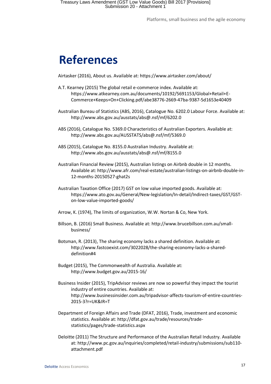## <span id="page-20-0"></span>**References**

Airtasker (2016), About us. Available at: https://www.airtasker.com/about/

- A.T. Kearney (2015) The global retail e-commerce index. Available at: https://www.atkearney.com.au/documents/10192/5691153/Global+Retail+E-Commerce+Keeps+On+Clicking.pdf/abe38776-2669-47ba-9387-5d1653e40409
- Australian Bureau of Statistics (ABS, 2016), Catalogue No. 6202.0 Labour Force. Available at: <http://www.abs.gov.au/ausstats/abs@.nsf/mf/6202.0>
- ABS (2016), Catalogue No. 5369.0 Characteristics of Australian Exporters. Available at: http://www.abs.gov.au/AUSSTATS/abs@.nsf/mf/5369.0
- ABS (2015), Catalogue No. 8155.0 Australian Industry. Available at: http://www.abs.gov.au/ausstats/abs@.nsf/mf/8155.0
- Australian Financial Review (2015), Australian listings on Airbnb double in 12 months. Available at: http://www.afr.com/real-estate/australian-listings-on-airbnb-double-in-12-months-20150527-ghat2s
- Australian Taxation Office (2017) GST on low value imported goods. Available at: https://www.ato.gov.au/General/New-legislation/In-detail/Indirect-taxes/GST/GSTon-low-value-imported-goods/
- Arrow, K. (1974), The limits of organization, W.W. Nortan & Co, New York.
- Billson, B. (2016) Small Business. Available at: http://www.brucebillson.com.au/smallbusiness/
- Botsman, R. (2013), The sharing economy lacks a shared definition. Available at: http://www.fastcoexist.com/3022028/the-sharing-economy-lacks-a-shareddefinition#4
- Budget (2015), The Commonwealth of Australia. Available at: http://www.budget.gov.au/2015-16/
- Business Insider (2015), TripAdvisor reviews are now so powerful they impact the tourist industry of entire countries. Available at: http://www.businessinsider.com.au/tripadvisor-affects-tourism-of-entire-countries-2015-3?r=UK&IR=T
- Department of Foreign Affairs and Trade (DFAT, 2016), Trade, investment and economic statistics. Available at: http://dfat.gov.au/trade/resources/tradestatistics/pages/trade-statistics.aspx
- Deloitte (2011) The Structure and Performance of the Australian Retail Industry. Available at: http://www.pc.gov.au/inquiries/completed/retail-industry/submissions/sub110 attachment.pdf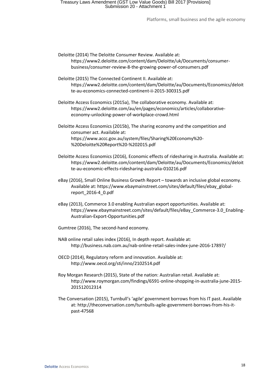### Treasury Laws Amendment (GST Low Value Goods) Bill 2017 [Provisions] Submission 20 - Attachment 1

Platforms, small business and the agile economy

- Deloitte (2014) The Deloitte Consumer Review. Available at: https://www2.deloitte.com/content/dam/Deloitte/uk/Documents/consumerbusiness/consumer-review-8-the-growing-power-of-consumers.pdf
- Deloitte (2015) The Connected Continent II. Available at: https://www2.deloitte.com/content/dam/Deloitte/au/Documents/Economics/deloit te-au-economics-connected-continent-ii-2015-300315.pdf
- Deloitte Access Economics (2015a), The collaborative economy. Available at: [https://www2.deloitte.com/au/en/pages/economics/articles/collaborative](https://www2.deloitte.com/au/en/pages/economics/articles/collaborative-economy-unlocking-power-of-workplace-crowd.html)[economy-unlocking-power-of-workplace-crowd.html](https://www2.deloitte.com/au/en/pages/economics/articles/collaborative-economy-unlocking-power-of-workplace-crowd.html)

Deloitte Access Economics (2015b), The sharing economy and the competition and consumer act. Available at: https://www.accc.gov.au/system/files/Sharing%20Economy%20- %20Deloitte%20Report%20-%202015.pdf

- Deloitte Access Economics (2016), Economic effects of ridesharing in Australia. Available at: https://www2.deloitte.com/content/dam/Deloitte/au/Documents/Economics/deloit te-au-economic-effects-ridesharing-australia-010216.pdf
- eBay (2016), Small Online Business Growth Report towards an inclusive global economy. Available at: https://www.ebaymainstreet.com/sites/default/files/ebay\_globalreport\_2016-4\_0.pdf
- eBay (2013), Commerce 3.0 enabling Australian export opportunities. Available at: https://www.ebaymainstreet.com/sites/default/files/eBay\_Commerce-3.0\_Enabling-Australian-Export-Opportunities.pdf
- Gumtree (2016), The second-hand economy.
- NAB online retail sales index (2016), In depth report. Available at: http://business.nab.com.au/nab-online-retail-sales-index-june-2016-17897/
- OECD (2014), Regulatory reform and innovation. Available at: <http://www.oecd.org/sti/inno/2102514.pdf>
- Roy Morgan Research (2015), State of the nation: Australian retail. Available at: [http://www.roymorgan.com/findings/6591-online-shopping-in-australia-june-2015-](http://www.roymorgan.com/findings/6591-online-shopping-in-australia-june-2015-201512012314) [201512012314](http://www.roymorgan.com/findings/6591-online-shopping-in-australia-june-2015-201512012314)
- The Conversation (2015), Turnbull's 'agile' government borrows from his IT past. Available at: http://theconversation.com/turnbulls-agile-government-borrows-from-his-itpast-47568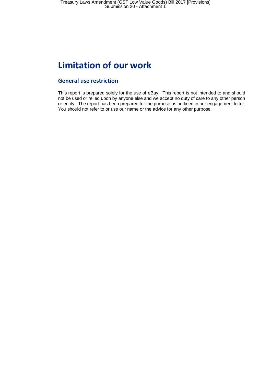## <span id="page-22-0"></span>**Limitation of our work**

#### **General use restriction**

This report is prepared solely for the use of eBay. This report is not intended to and should not be used or relied upon by anyone else and we accept no duty of care to any other person or entity. The report has been prepared for the purpose as outlined in our engagement letter. You should not refer to or use our name or the advice for any other purpose.